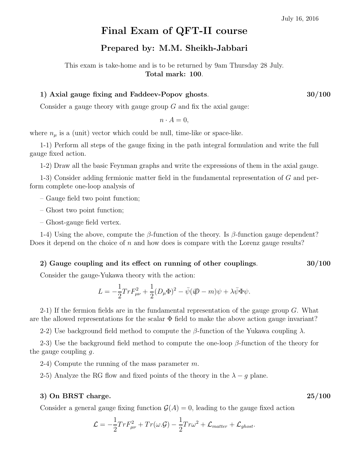# Final Exam of QFT-II course

## Prepared by: M.M. Sheikh-Jabbari

This exam is take-home and is to be returned by 9am Thursday 28 July. Total mark: 100.

### 1) Axial gauge fixing and Faddeev-Popov ghosts. 30/100

Consider a gauge theory with gauge group  $G$  and fix the axial gauge:

$$
n \cdot A = 0,
$$

where  $n_{\mu}$  is a (unit) vector which could be null, time-like or space-like.

1-1) Perform all steps of the gauge fixing in the path integral formulation and write the full gauge fixed action.

1-2) Draw all the basic Feynman graphs and write the expressions of them in the axial gauge.

1-3) Consider adding fermionic matter field in the fundamental representation of G and perform complete one-loop analysis of

– Gauge field two point function;

– Ghost two point function;

– Ghost-gauge field vertex.

1-4) Using the above, compute the β-function of the theory. Is β-function gauge dependent? Does it depend on the choice of  $n$  and how does is compare with the Lorenz gauge results?

#### 2) Gauge coupling and its effect on running of other couplings.  $30/100$

Consider the gauge-Yukawa theory with the action:

$$
L = -\frac{1}{2} Tr F_{\mu\nu}^2 + \frac{1}{2} (D_{\mu} \Phi)^2 - \bar{\psi} (\mathrm{i} \not{D} - m) \psi + \lambda \bar{\psi} \Phi \psi.
$$

2-1) If the fermion fields are in the fundamental representation of the gauge group  $G$ . What are the allowed representations for the scalar  $\Phi$  field to make the above action gauge invariant?

2-2) Use background field method to compute the β-function of the Yukawa coupling  $\lambda$ .

2-3) Use the background field method to compute the one-loop  $\beta$ -function of the theory for the gauge coupling  $q$ .

2-4) Compute the running of the mass parameter  $m$ .

2-5) Analyze the RG flow and fixed points of the theory in the  $\lambda - g$  plane.

#### $3)$  On BRST charge.  $25/100$

Consider a general gauge fixing function  $\mathcal{G}(A) = 0$ , leading to the gauge fixed action

$$
\mathcal{L} = -\frac{1}{2} Tr F_{\mu\nu}^2 + Tr(\omega \cdot \mathcal{G}) - \frac{1}{2} Tr \omega^2 + \mathcal{L}_{matter} + \mathcal{L}_{ghost}.
$$